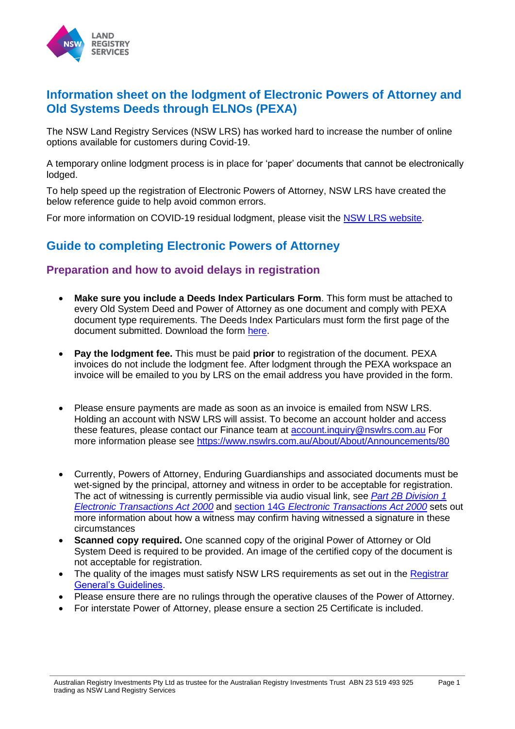

## **Information sheet on the lodgment of Electronic Powers of Attorney and Old Systems Deeds through ELNOs (PEXA)**

The NSW Land Registry Services (NSW LRS) has worked hard to increase the number of online options available for customers during Covid-19.

A temporary online lodgment process is in place for 'paper' documents that cannot be electronically lodged.

To help speed up the registration of Electronic Powers of Attorney, NSW LRS have created the below reference guide to help avoid common errors.

For more information on COVID-19 residual lodgment, please visit the [NSW LRS website.](https://www.nswlrs.com.au/Documents-Repository/Announcements/COVID-19-Residual-Lodgment-Phase-2-Information-She)

# **Guide to completing Electronic Powers of Attorney**

#### **Preparation and how to avoid delays in registration**

- **Make sure you include a Deeds Index Particulars Form**. This form must be attached to every Old System Deed and Power of Attorney as one document and comply with PEXA document type requirements. The Deeds [Index](http://nswlrs.com.au/getdoc/5a6e7791-8b2a-4581-8044-578812e76ae4/10deeds.pdf) Particulars must form the first page of the document submitted. Download the form here.
- **Pay the lodgment fee.** This must be paid **prior** to registration of the document. PEXA invoices do not include the lodgment fee. After lodgment through the PEXA workspace an invoice will be emailed to you by LRS on the email address you have provided in the form.
- Please ensure payments are made as soon as an invoice is emailed from NSW LRS. Holding an account with NSW LRS will assist. To b[ecome an account holder and acc](mailto:account.inquiry@nswlrs.com.au)ess these features, please conta[ct our Finance team at account.inquiry@nswlrs.com.au](https://www.nswlrs.com.au/About/About/Announcements/80) For more information please see https://www.nswlrs.com.au/About/About/Announcements/80
- Currently, Powers of Attorney, Enduring Guardianships and associated documents must be wet-signed by the principal, attorney and witness in order to be accept[able for registration.](https://www.legislation.nsw.gov.au/view/html/inforce/current/act-2000-008#pt.2B-div.1) [The act of witnessing is currently p](https://www.legislation.nsw.gov.au/view/html/inforce/current/act-2000-008#pt.2B-div.1)er[missible via audio visual link, see](https://www.legislation.nsw.gov.au/view/html/inforce/current/act-2000-008#pt.2B-div.1) *Part 2B Division 1 Electronic Transactions Act 2000* and section 14G *Electronic Transactions Act 2000* sets out more information about how a witness may confirm having witnessed a signature in these circumstances
- **Scanned copy required.** One scanned copy of the original Power of Attorney or Old System Deed is required to be provided. An image of the certified copy of the document is not acceptable for registration.
- The [quality of the imag](https://rg-guidelines.nswlrs.com.au/land_dealings/dealing_preparation)es must satisfy NSW LRS requirements as set out in the Registrar General's Guidelines.
- Please ensure there are no rulings through the operative clauses of the Power of Attorney.
- For interstate Power of Attorney, please ensure a section 25 Certificate is included.